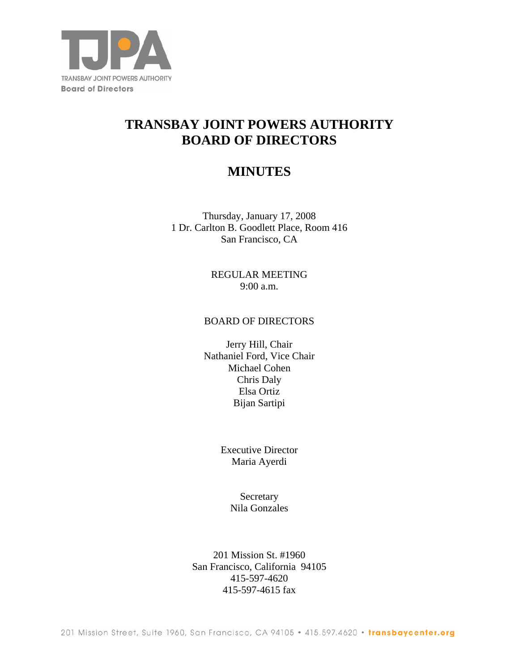

# **TRANSBAY JOINT POWERS AUTHORITY BOARD OF DIRECTORS**

## **MINUTES**

Thursday, January 17, 2008 1 Dr. Carlton B. Goodlett Place, Room 416 San Francisco, CA

> REGULAR MEETING 9:00 a.m.

#### BOARD OF DIRECTORS

Jerry Hill, Chair Nathaniel Ford, Vice Chair Michael Cohen Chris Daly Elsa Ortiz Bijan Sartipi

> Executive Director Maria Ayerdi

> > Secretary Nila Gonzales

201 Mission St. #1960 San Francisco, California 94105 415-597-4620 415-597-4615 fax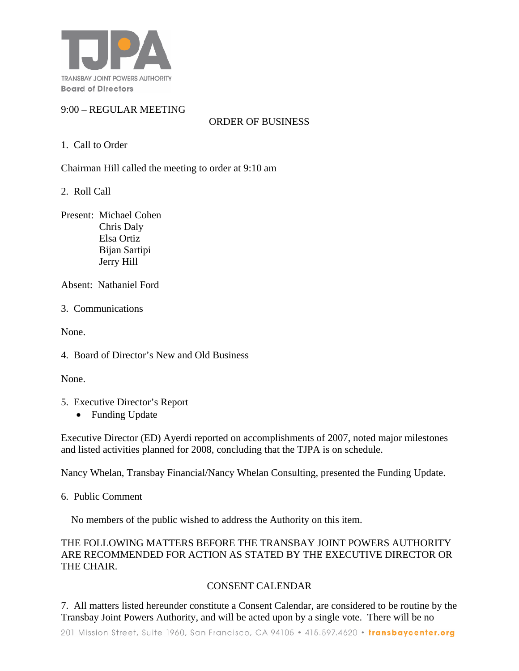

## 9:00 – REGULAR MEETING

ORDER OF BUSINESS

## 1. Call to Order

Chairman Hill called the meeting to order at 9:10 am

2. Roll Call

Present: Michael Cohen Chris Daly Elsa Ortiz Bijan Sartipi Jerry Hill

Absent: Nathaniel Ford

3. Communications

None.

4. Board of Director's New and Old Business

None.

- 5. Executive Director's Report
	- Funding Update

Executive Director (ED) Ayerdi reported on accomplishments of 2007, noted major milestones and listed activities planned for 2008, concluding that the TJPA is on schedule.

Nancy Whelan, Transbay Financial/Nancy Whelan Consulting, presented the Funding Update.

6. Public Comment

No members of the public wished to address the Authority on this item.

### THE FOLLOWING MATTERS BEFORE THE TRANSBAY JOINT POWERS AUTHORITY ARE RECOMMENDED FOR ACTION AS STATED BY THE EXECUTIVE DIRECTOR OR THE CHAIR.

## CONSENT CALENDAR

7. All matters listed hereunder constitute a Consent Calendar, are considered to be routine by the Transbay Joint Powers Authority, and will be acted upon by a single vote. There will be no

201 Mission Street, Suite 1960, San Francisco, CA 94105 . 415.597.4620 . transbaycenter.org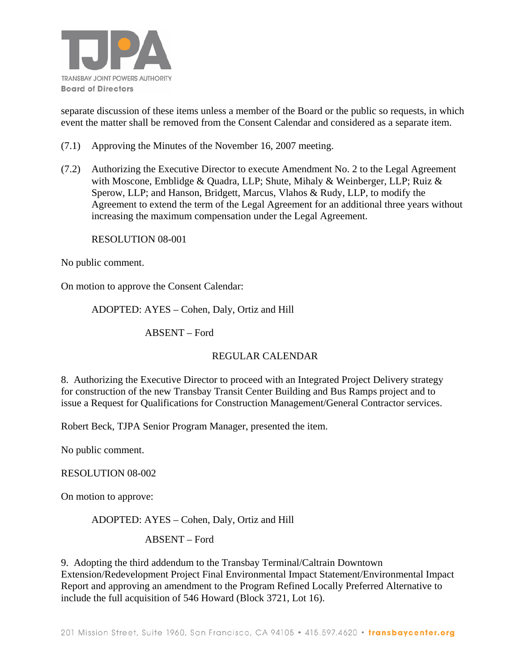

separate discussion of these items unless a member of the Board or the public so requests, in which event the matter shall be removed from the Consent Calendar and considered as a separate item.

- (7.1) Approving the Minutes of the November 16, 2007 meeting.
- (7.2) Authorizing the Executive Director to execute Amendment No. 2 to the Legal Agreement with Moscone, Emblidge & Quadra, LLP; Shute, Mihaly & Weinberger, LLP; Ruiz & Sperow, LLP; and Hanson, Bridgett, Marcus, Vlahos & Rudy, LLP, to modify the Agreement to extend the term of the Legal Agreement for an additional three years without increasing the maximum compensation under the Legal Agreement.

RESOLUTION 08-001

No public comment.

On motion to approve the Consent Calendar:

#### ADOPTED: AYES – Cohen, Daly, Ortiz and Hill

ABSENT – Ford

#### REGULAR CALENDAR

8. Authorizing the Executive Director to proceed with an Integrated Project Delivery strategy for construction of the new Transbay Transit Center Building and Bus Ramps project and to issue a Request for Qualifications for Construction Management/General Contractor services.

Robert Beck, TJPA Senior Program Manager, presented the item.

No public comment.

#### RESOLUTION 08-002

On motion to approve:

ADOPTED: AYES – Cohen, Daly, Ortiz and Hill

ABSENT – Ford

9. Adopting the third addendum to the Transbay Terminal/Caltrain Downtown Extension/Redevelopment Project Final Environmental Impact Statement/Environmental Impact Report and approving an amendment to the Program Refined Locally Preferred Alternative to include the full acquisition of 546 Howard (Block 3721, Lot 16).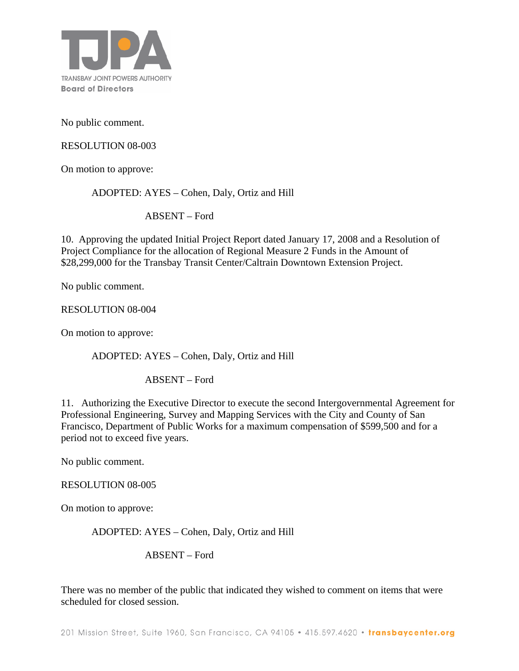

No public comment.

RESOLUTION 08-003

On motion to approve:

ADOPTED: AYES – Cohen, Daly, Ortiz and Hill

ABSENT – Ford

10. Approving the updated Initial Project Report dated January 17, 2008 and a Resolution of Project Compliance for the allocation of Regional Measure 2 Funds in the Amount of \$28,299,000 for the Transbay Transit Center/Caltrain Downtown Extension Project.

No public comment.

RESOLUTION 08-004

On motion to approve:

ADOPTED: AYES – Cohen, Daly, Ortiz and Hill

ABSENT – Ford

11. Authorizing the Executive Director to execute the second Intergovernmental Agreement for Professional Engineering, Survey and Mapping Services with the City and County of San Francisco, Department of Public Works for a maximum compensation of \$599,500 and for a period not to exceed five years.

No public comment.

#### RESOLUTION 08-005

On motion to approve:

ADOPTED: AYES – Cohen, Daly, Ortiz and Hill

ABSENT – Ford

There was no member of the public that indicated they wished to comment on items that were scheduled for closed session.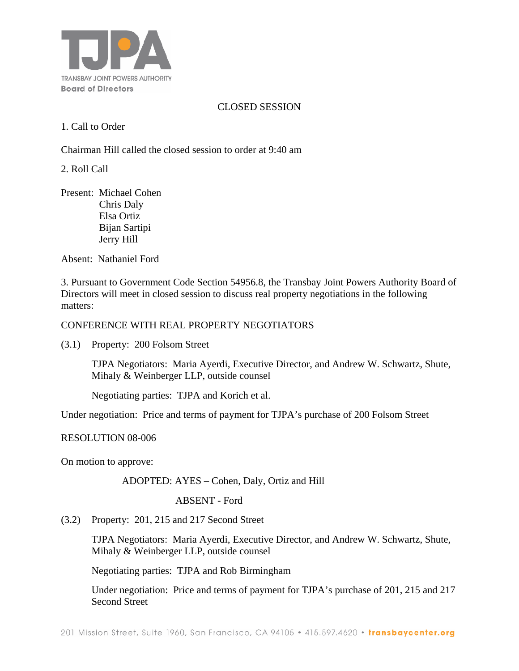

### CLOSED SESSION

1. Call to Order

Chairman Hill called the closed session to order at 9:40 am

2. Roll Call

Present: Michael Cohen Chris Daly Elsa Ortiz Bijan Sartipi Jerry Hill

Absent:Nathaniel Ford

3. Pursuant to Government Code Section 54956.8, the Transbay Joint Powers Authority Board of Directors will meet in closed session to discuss real property negotiations in the following matters:

#### CONFERENCE WITH REAL PROPERTY NEGOTIATORS

(3.1) Property: 200 Folsom Street

TJPA Negotiators: Maria Ayerdi, Executive Director, and Andrew W. Schwartz, Shute, Mihaly & Weinberger LLP, outside counsel

Negotiating parties: TJPA and Korich et al.

Under negotiation: Price and terms of payment for TJPA's purchase of 200 Folsom Street

#### RESOLUTION 08-006

On motion to approve:

ADOPTED: AYES – Cohen, Daly, Ortiz and Hill

ABSENT - Ford

(3.2) Property: 201, 215 and 217 Second Street

TJPA Negotiators: Maria Ayerdi, Executive Director, and Andrew W. Schwartz, Shute, Mihaly & Weinberger LLP, outside counsel

Negotiating parties: TJPA and Rob Birmingham

Under negotiation: Price and terms of payment for TJPA's purchase of 201, 215 and 217 Second Street